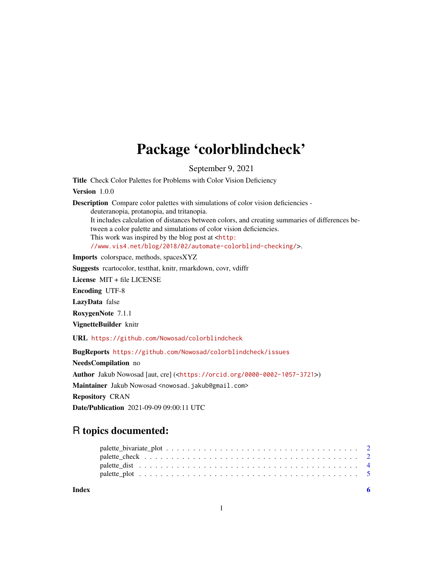## Package 'colorblindcheck'

September 9, 2021

Title Check Color Palettes for Problems with Color Vision Deficiency

Version 1.0.0

Description Compare color palettes with simulations of color vision deficiencies -

deuteranopia, protanopia, and tritanopia.

It includes calculation of distances between colors, and creating summaries of differences between a color palette and simulations of color vision deficiencies. This work was inspired by the blog post at  $<$ [http:](http://www.vis4.net/blog/2018/02/automate-colorblind-checking/)

[//www.vis4.net/blog/2018/02/automate-colorblind-checking/](http://www.vis4.net/blog/2018/02/automate-colorblind-checking/)>.

Imports colorspace, methods, spacesXYZ

Suggests rcartocolor, testthat, knitr, rmarkdown, covr, vdiffr

License MIT + file LICENSE

Encoding UTF-8

LazyData false

RoxygenNote 7.1.1

VignetteBuilder knitr

URL <https://github.com/Nowosad/colorblindcheck>

BugReports <https://github.com/Nowosad/colorblindcheck/issues>

NeedsCompilation no Author Jakub Nowosad [aut, cre] (<<https://orcid.org/0000-0002-1057-3721>>) Maintainer Jakub Nowosad <nowosad.jakub@gmail.com> Repository CRAN Date/Publication 2021-09-09 09:00:11 UTC

### R topics documented:

| Index | - 6 |
|-------|-----|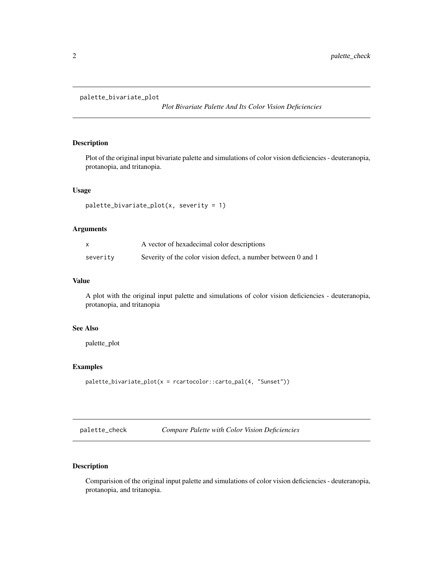#### <span id="page-1-0"></span>palette\_bivariate\_plot

*Plot Bivariate Palette And Its Color Vision Deficiencies*

#### Description

Plot of the original input bivariate palette and simulations of color vision deficiencies - deuteranopia, protanopia, and tritanopia.

#### Usage

```
palette_bivariate_plot(x, severity = 1)
```
#### Arguments

| X        | A vector of hexadecimal color descriptions                    |
|----------|---------------------------------------------------------------|
| severity | Severity of the color vision defect, a number between 0 and 1 |

#### Value

A plot with the original input palette and simulations of color vision deficiencies - deuteranopia, protanopia, and tritanopia

#### See Also

palette\_plot

#### Examples

```
palette_bivariate_plot(x = rcartocolor::carto_pal(4, "Sunset"))
```
palette\_check *Compare Palette with Color Vision Deficiencies*

#### Description

Comparision of the original input palette and simulations of color vision deficiencies - deuteranopia, protanopia, and tritanopia.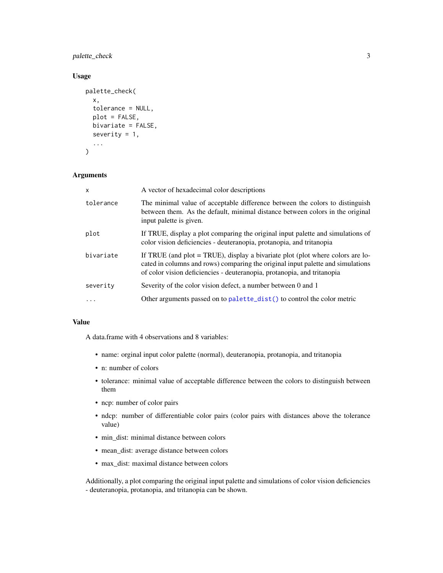<span id="page-2-0"></span>palette\_check 3

#### Usage

```
palette_check(
  x,
  tolerance = NULL,
 plot = FALSE,
 bivariate = FALSE,
  severity = 1,
  ...
)
```
#### Arguments

| X         | A vector of hexadecimal color descriptions                                                                                                                                                                                                     |
|-----------|------------------------------------------------------------------------------------------------------------------------------------------------------------------------------------------------------------------------------------------------|
| tolerance | The minimal value of acceptable difference between the colors to distinguish<br>between them. As the default, minimal distance between colors in the original<br>input palette is given.                                                       |
| plot      | If TRUE, display a plot comparing the original input palette and simulations of<br>color vision deficiencies - deuteranopia, protanopia, and tritanopia                                                                                        |
| bivariate | If TRUE (and plot $=$ TRUE), display a bivariate plot (plot where colors are lo-<br>cated in columns and rows) comparing the original input palette and simulations<br>of color vision deficiencies - deuteranopia, protanopia, and tritanopia |
| severity  | Severity of the color vision defect, a number between 0 and 1                                                                                                                                                                                  |
| $\ddots$  | Other arguments passed on to palette_dist() to control the color metric                                                                                                                                                                        |

#### Value

A data.frame with 4 observations and 8 variables:

- name: orginal input color palette (normal), deuteranopia, protanopia, and tritanopia
- n: number of colors
- tolerance: minimal value of acceptable difference between the colors to distinguish between them
- ncp: number of color pairs
- ndcp: number of differentiable color pairs (color pairs with distances above the tolerance value)
- min\_dist: minimal distance between colors
- mean\_dist: average distance between colors
- max\_dist: maximal distance between colors

Additionally, a plot comparing the original input palette and simulations of color vision deficiencies - deuteranopia, protanopia, and tritanopia can be shown.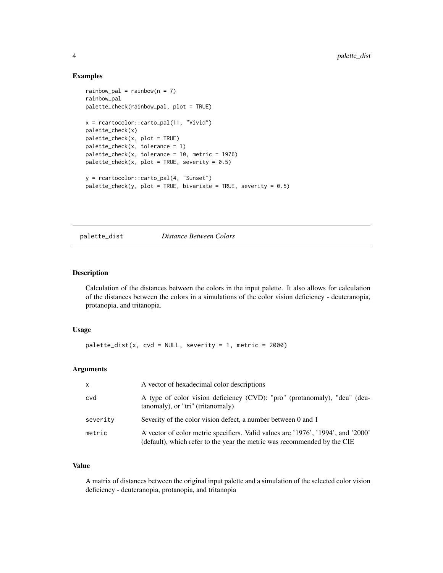#### Examples

```
rainbow\_pal = rainbow(n = 7)rainbow_pal
palette_check(rainbow_pal, plot = TRUE)
x = rcartocolor::carto_pal(11, "Vivid")
palette_check(x)
palette_check(x, plot = TRUE)
palette_check(x, tolerance = 1)
palette_check(x, tolerance = 10, metric = 1976)
palette\_check(x, plot = TRUE, severity = 0.5)y = rcartocolor::carto_pal(4, "Sunset")
palette\_check(y, plot = TRUE, bivariate = TRUE, severity = 0.5)
```
<span id="page-3-1"></span>palette\_dist *Distance Between Colors*

#### Description

Calculation of the distances between the colors in the input palette. It also allows for calculation of the distances between the colors in a simulations of the color vision deficiency - deuteranopia, protanopia, and tritanopia.

#### Usage

```
palette\_dist(x, cvd = NULL, severity = 1, metric = 2000)
```
#### Arguments

| $\mathsf{x}$ | A vector of hexadecimal color descriptions                                                                                                                   |
|--------------|--------------------------------------------------------------------------------------------------------------------------------------------------------------|
| cvd          | A type of color vision deficiency (CVD): "pro" (protanomaly), "deu" (deu-<br>tanomaly), or "tri" (tritanomaly)                                               |
| severity     | Severity of the color vision defect, a number between 0 and 1                                                                                                |
| metric       | A vector of color metric specifiers. Valid values are '1976', '1994', and '2000'<br>(default), which refer to the year the metric was recommended by the CIE |

#### Value

A matrix of distances between the original input palette and a simulation of the selected color vision deficiency - deuteranopia, protanopia, and tritanopia

<span id="page-3-0"></span>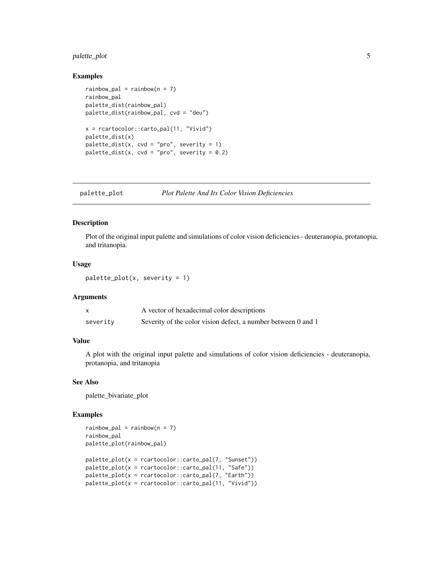#### <span id="page-4-0"></span>palette\_plot 5

#### Examples

```
rainbow\_pal = rainbow(n = 7)rainbow_pal
palette_dist(rainbow_pal)
palette_dist(rainbow_pal, cvd = "deu")
x = rcartocolor::carto_pal(11, "Vivid")
palette_dist(x)
palette\_dist(x, cvd = "pro", severity = 1)palette_dist(x, cvd = "pro", severity = 0.2)
```

| palette_plot | Plot Palette And Its Color Vision Deficiencies |
|--------------|------------------------------------------------|
|              |                                                |

#### Description

Plot of the original input palette and simulations of color vision deficiencies - deuteranopia, protanopia, and tritanopia.

#### Usage

 $palette.plot(x, severity = 1)$ 

#### Arguments

|          | A vector of hexadecimal color descriptions                    |
|----------|---------------------------------------------------------------|
| severity | Severity of the color vision defect, a number between 0 and 1 |

#### Value

A plot with the original input palette and simulations of color vision deficiencies - deuteranopia, protanopia, and tritanopia

#### See Also

palette\_bivariate\_plot

#### Examples

```
rainbow_pal = rainbow(n = 7)
rainbow_pal
palette_plot(rainbow_pal)
palette_plot(x = rcartocolor::carto_pal(7, "Sunset"))
palette_plot(x = rcartocolor::carto_pal(11, "Safe"))
palette_plot(x = rcartocolor::carto_pal(7, "Earth"))
palette_plot(x = rcartocolor::carto_pal(11, "Vivid"))
```